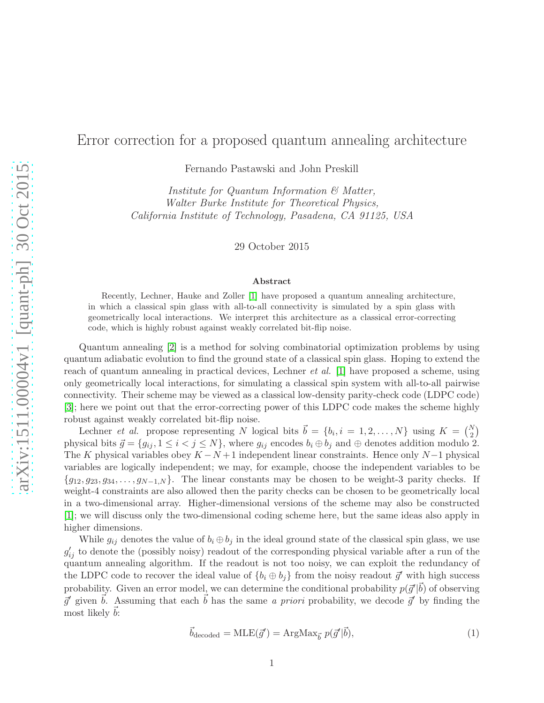## Error correction for a proposed quantum annealing architecture

Fernando Pastawski and John Preskill

Institute for Quantum Information & Matter, Walter Burke Institute for Theoretical Physics, California Institute of Technology, Pasadena, CA 91125, USA

29 October 2015

## Abstract

Recently, Lechner, Hauke and Zoller [\[1\]](#page-3-0) have proposed a quantum annealing architecture, in which a classical spin glass with all-to-all connectivity is simulated by a spin glass with geometrically local interactions. We interpret this architecture as a classical error-correcting code, which is highly robust against weakly correlated bit-flip noise.

Quantum annealing [\[2\]](#page-3-1) is a method for solving combinatorial optimization problems by using quantum adiabatic evolution to find the ground state of a classical spin glass. Hoping to extend the reach of quantum annealing in practical devices, Lechner *et al.* [\[1\]](#page-3-0) have proposed a scheme, using only geometrically local interactions, for simulating a classical spin system with all-to-all pairwise connectivity. Their scheme may be viewed as a classical low-density parity-check code (LDPC code) [\[3\]](#page-3-2); here we point out that the error-correcting power of this LDPC code makes the scheme highly robust against weakly correlated bit-flip noise.

Lechner *et al.* propose representing N logical bits  $\vec{b} = \{b_i, i = 1, 2, ..., N\}$  using  $K = \begin{pmatrix} N \\ 2 \end{pmatrix}$ physical bits  $\vec{g} = \{g_{ij}, 1 \leq i < j \leq N\}$ , where  $g_{ij}$  encodes  $b_i \oplus b_j$  and  $\oplus$  denotes addition modulo 2. The K physical variables obey  $K - N + 1$  independent linear constraints. Hence only  $N - 1$  physical variables are logically independent; we may, for example, choose the independent variables to be  ${g_{12}, g_{23}, g_{34}, \ldots, g_{N-1,N}}$ . The linear constants may be chosen to be weight-3 parity checks. If weight-4 constraints are also allowed then the parity checks can be chosen to be geometrically local in a two-dimensional array. Higher-dimensional versions of the scheme may also be constructed [\[1\]](#page-3-0); we will discuss only the two-dimensional coding scheme here, but the same ideas also apply in higher dimensions.

While  $g_{ij}$  denotes the value of  $b_i \oplus b_j$  in the ideal ground state of the classical spin glass, we use  $g'_{ij}$  to denote the (possibly noisy) readout of the corresponding physical variable after a run of the quantum annealing algorithm. If the readout is not too noisy, we can exploit the redundancy of the LDPC code to recover the ideal value of  ${b_i \oplus b_j}$  from the noisy readout  $\vec{g}'$  with high success probability. Given an error model, we can determine the conditional probability  $p(\vec{g}'|\vec{b})$  of observing  $\vec{g}'$  given  $\vec{b}$ . Assuming that each  $\vec{b}$  has the same a priori probability, we decode  $\vec{g}'$  by finding the most likely  $\vec{b}$ :

$$
\vec{b}_{\text{decoded}} = \text{MLE}(\vec{g}') = \text{ArgMax}_{\vec{b}} p(\vec{g}'|\vec{b}),\tag{1}
$$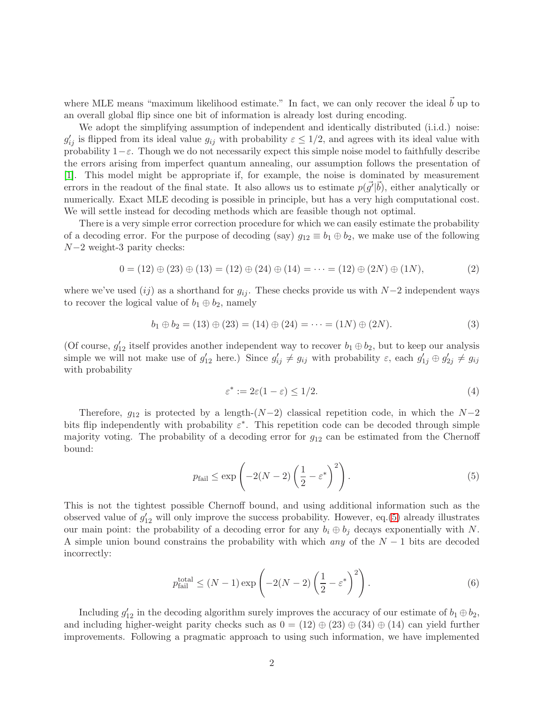where MLE means "maximum likelihood estimate." In fact, we can only recover the ideal  $\vec{b}$  up to an overall global flip since one bit of information is already lost during encoding.

We adopt the simplifying assumption of independent and identically distributed (i.i.d.) noise:  $g'_{ij}$  is flipped from its ideal value  $g_{ij}$  with probability  $\varepsilon \leq 1/2$ , and agrees with its ideal value with probability  $1-\varepsilon$ . Though we do not necessarily expect this simple noise model to faithfully describe the errors arising from imperfect quantum annealing, our assumption follows the presentation of [\[1\]](#page-3-0). This model might be appropriate if, for example, the noise is dominated by measurement errors in the readout of the final state. It also allows us to estimate  $p(\vec{g'}|\vec{b})$ , either analytically or numerically. Exact MLE decoding is possible in principle, but has a very high computational cost. We will settle instead for decoding methods which are feasible though not optimal.

There is a very simple error correction procedure for which we can easily estimate the probability of a decoding error. For the purpose of decoding (say)  $g_{12} \equiv b_1 \oplus b_2$ , we make use of the following N−2 weight-3 parity checks:

$$
0 = (12) \oplus (23) \oplus (13) = (12) \oplus (24) \oplus (14) = \dots = (12) \oplus (2N) \oplus (1N), \tag{2}
$$

where we've used  $(ij)$  as a shorthand for  $g_{ij}$ . These checks provide us with N−2 independent ways to recover the logical value of  $b_1 \oplus b_2$ , namely

$$
b_1 \oplus b_2 = (13) \oplus (23) = (14) \oplus (24) = \dots = (1N) \oplus (2N). \tag{3}
$$

(Of course,  $g'_{12}$  itself provides another independent way to recover  $b_1 \oplus b_2$ , but to keep our analysis simple we will not make use of  $g'_{12}$  here.) Since  $g'_{ij} \neq g_{ij}$  with probability  $\varepsilon$ , each  $g'_{1j} \oplus g'_{2j} \neq g_{ij}$ with probability

<span id="page-1-0"></span>
$$
\varepsilon^* := 2\varepsilon (1 - \varepsilon) \le 1/2. \tag{4}
$$

Therefore,  $g_{12}$  is protected by a length- $(N-2)$  classical repetition code, in which the  $N-2$ bits flip independently with probability  $\varepsilon^*$ . This repetition code can be decoded through simple majority voting. The probability of a decoding error for  $g_{12}$  can be estimated from the Chernoff bound:

$$
p_{\text{fail}} \le \exp\left(-2(N-2)\left(\frac{1}{2} - \varepsilon^*\right)^2\right). \tag{5}
$$

This is not the tightest possible Chernoff bound, and using additional information such as the observed value of  $g'_{12}$  will only improve the success probability. However, eq.[\(5\)](#page-1-0) already illustrates our main point: the probability of a decoding error for any  $b_i \oplus b_j$  decays exponentially with N. A simple union bound constrains the probability with which any of the  $N-1$  bits are decoded incorrectly:

<span id="page-1-1"></span>
$$
p_{\text{fail}}^{\text{total}} \le (N-1)\exp\left(-2(N-2)\left(\frac{1}{2} - \varepsilon^*\right)^2\right). \tag{6}
$$

Including  $g'_{12}$  in the decoding algorithm surely improves the accuracy of our estimate of  $b_1 \oplus b_2$ , and including higher-weight parity checks such as  $0 = (12) \oplus (23) \oplus (34) \oplus (14)$  can yield further improvements. Following a pragmatic approach to using such information, we have implemented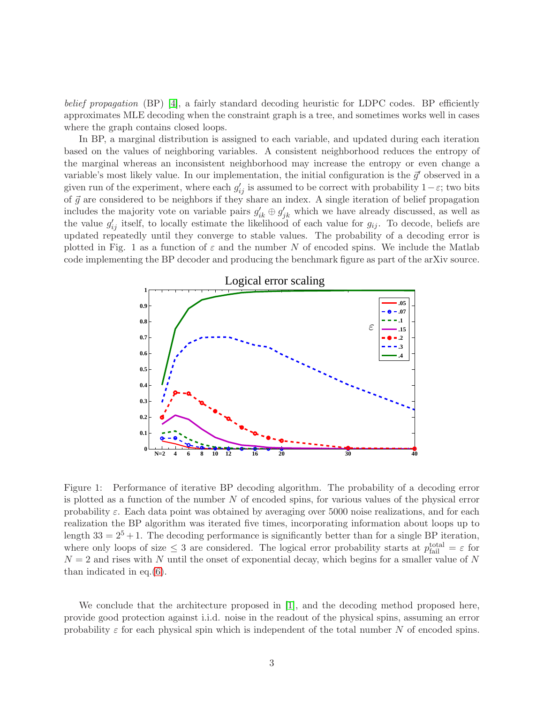belief propagation  $(BP)$  [\[4\]](#page-3-3), a fairly standard decoding heuristic for LDPC codes. BP efficiently approximates MLE decoding when the constraint graph is a tree, and sometimes works well in cases where the graph contains closed loops.

In BP, a marginal distribution is assigned to each variable, and updated during each iteration based on the values of neighboring variables. A consistent neighborhood reduces the entropy of the marginal whereas an inconsistent neighborhood may increase the entropy or even change a variable's most likely value. In our implementation, the initial configuration is the  $\vec{g}'$  observed in a given run of the experiment, where each  $g'_{ij}$  is assumed to be correct with probability  $1-\varepsilon$ ; two bits of  $\vec{g}$  are considered to be neighbors if they share an index. A single iteration of belief propagation includes the majority vote on variable pairs  $g'_{ik} \oplus g'_{jk}$  which we have already discussed, as well as the value  $g'_{ij}$  itself, to locally estimate the likelihood of each value for  $g_{ij}$ . To decode, beliefs are updated repeatedly until they converge to stable values. The probability of a decoding error is plotted in Fig. 1 as a function of  $\varepsilon$  and the number N of encoded spins. We include the Matlab code implementing the BP decoder and producing the benchmark figure as part of the arXiv source.



Figure 1: Performance of iterative BP decoding algorithm. The probability of a decoding error is plotted as a function of the number  $N$  of encoded spins, for various values of the physical error probability  $\varepsilon$ . Each data point was obtained by averaging over 5000 noise realizations, and for each realization the BP algorithm was iterated five times, incorporating information about loops up to length  $33 = 2^5 + 1$ . The decoding performance is significantly better than for a single BP iteration, where only loops of size  $\leq 3$  are considered. The logical error probability starts at  $p_{\text{fail}}^{\text{total}} = \varepsilon$  for  $N = 2$  and rises with N until the onset of exponential decay, which begins for a smaller value of N than indicated in eq.[\(6\)](#page-1-1).

We conclude that the architecture proposed in [\[1\]](#page-3-0), and the decoding method proposed here, provide good protection against i.i.d. noise in the readout of the physical spins, assuming an error probability  $\varepsilon$  for each physical spin which is independent of the total number N of encoded spins.